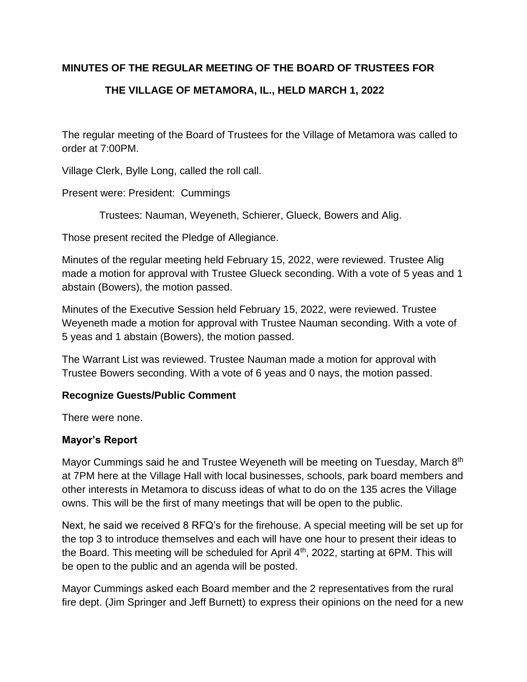# **MINUTES OF THE REGULAR MEETING OF THE BOARD OF TRUSTEES FOR**

# **THE VILLAGE OF METAMORA, IL., HELD MARCH 1, 2022**

The regular meeting of the Board of Trustees for the Village of Metamora was called to order at 7:00PM.

Village Clerk, Bylle Long, called the roll call.

Present were: President: Cummings

Trustees: Nauman, Weyeneth, Schierer, Glueck, Bowers and Alig.

Those present recited the Pledge of Allegiance.

Minutes of the regular meeting held February 15, 2022, were reviewed. Trustee Alig made a motion for approval with Trustee Glueck seconding. With a vote of 5 yeas and 1 abstain (Bowers), the motion passed.

Minutes of the Executive Session held February 15, 2022, were reviewed. Trustee Weyeneth made a motion for approval with Trustee Nauman seconding. With a vote of 5 yeas and 1 abstain (Bowers), the motion passed.

The Warrant List was reviewed. Trustee Nauman made a motion for approval with Trustee Bowers seconding. With a vote of 6 yeas and 0 nays, the motion passed.

# **Recognize Guests/Public Comment**

There were none.

# **Mayor's Report**

Mayor Cummings said he and Trustee Weyeneth will be meeting on Tuesday, March 8th at 7PM here at the Village Hall with local businesses, schools, park board members and other interests in Metamora to discuss ideas of what to do on the 135 acres the Village owns. This will be the first of many meetings that will be open to the public.

Next, he said we received 8 RFQ's for the firehouse. A special meeting will be set up for the top 3 to introduce themselves and each will have one hour to present their ideas to the Board. This meeting will be scheduled for April  $4<sup>th</sup>$ , 2022, starting at 6PM. This will be open to the public and an agenda will be posted.

Mayor Cummings asked each Board member and the 2 representatives from the rural fire dept. (Jim Springer and Jeff Burnett) to express their opinions on the need for a new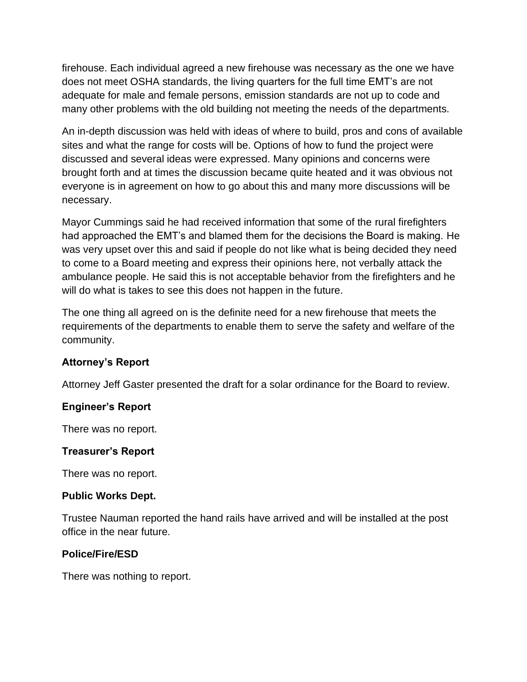firehouse. Each individual agreed a new firehouse was necessary as the one we have does not meet OSHA standards, the living quarters for the full time EMT's are not adequate for male and female persons, emission standards are not up to code and many other problems with the old building not meeting the needs of the departments.

An in-depth discussion was held with ideas of where to build, pros and cons of available sites and what the range for costs will be. Options of how to fund the project were discussed and several ideas were expressed. Many opinions and concerns were brought forth and at times the discussion became quite heated and it was obvious not everyone is in agreement on how to go about this and many more discussions will be necessary.

Mayor Cummings said he had received information that some of the rural firefighters had approached the EMT's and blamed them for the decisions the Board is making. He was very upset over this and said if people do not like what is being decided they need to come to a Board meeting and express their opinions here, not verbally attack the ambulance people. He said this is not acceptable behavior from the firefighters and he will do what is takes to see this does not happen in the future.

The one thing all agreed on is the definite need for a new firehouse that meets the requirements of the departments to enable them to serve the safety and welfare of the community.

# **Attorney's Report**

Attorney Jeff Gaster presented the draft for a solar ordinance for the Board to review.

# **Engineer's Report**

There was no report.

# **Treasurer's Report**

There was no report.

# **Public Works Dept.**

Trustee Nauman reported the hand rails have arrived and will be installed at the post office in the near future.

# **Police/Fire/ESD**

There was nothing to report.